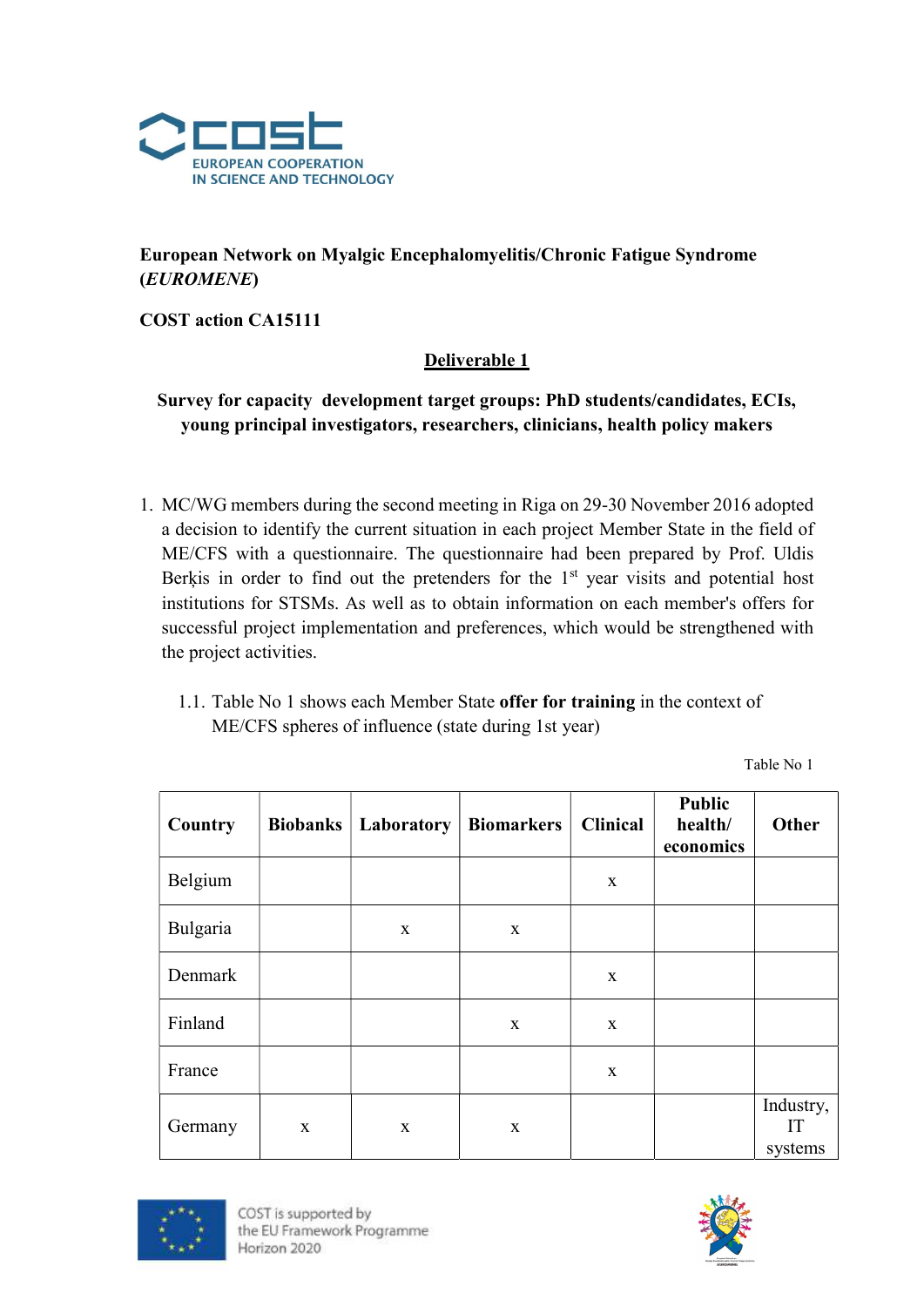

## European Network on Myalgic Encephalomyelitis/Chronic Fatigue Syndrome (EUROMENE)

COST action CA15111

#### Deliverable 1

### Survey for capacity development target groups: PhD students/candidates, ECIs, young principal investigators, researchers, clinicians, health policy makers

- 1. MC/WG members during the second meeting in Riga on 29-30 November 2016 adopted a decision to identify the current situation in each project Member State in the field of ME/CFS with a questionnaire. The questionnaire had been prepared by Prof. Uldis Berkis in order to find out the pretenders for the  $1<sup>st</sup>$  year visits and potential host institutions for STSMs. As well as to obtain information on each member's offers for successful project implementation and preferences, which would be strengthened with the project activities.
	- 1.1. Table No 1 shows each Member State offer for training in the context of ME/CFS spheres of influence (state during 1st year)

| Country  |   | <b>Biobanks</b>   Laboratory | <b>Biomarkers</b> | <b>Clinical</b> | <b>Public</b><br>health/<br>economics | Other                      |
|----------|---|------------------------------|-------------------|-----------------|---------------------------------------|----------------------------|
| Belgium  |   |                              |                   | $\mathbf{X}$    |                                       |                            |
| Bulgaria |   | X                            | $\mathbf{X}$      |                 |                                       |                            |
| Denmark  |   |                              |                   | $\mathbf X$     |                                       |                            |
| Finland  |   |                              | $\mathbf{X}$      | $\mathbf{x}$    |                                       |                            |
| France   |   |                              |                   | $\mathbf{X}$    |                                       |                            |
| Germany  | X | X                            | $\mathbf X$       |                 |                                       | Industry,<br>IT<br>systems |



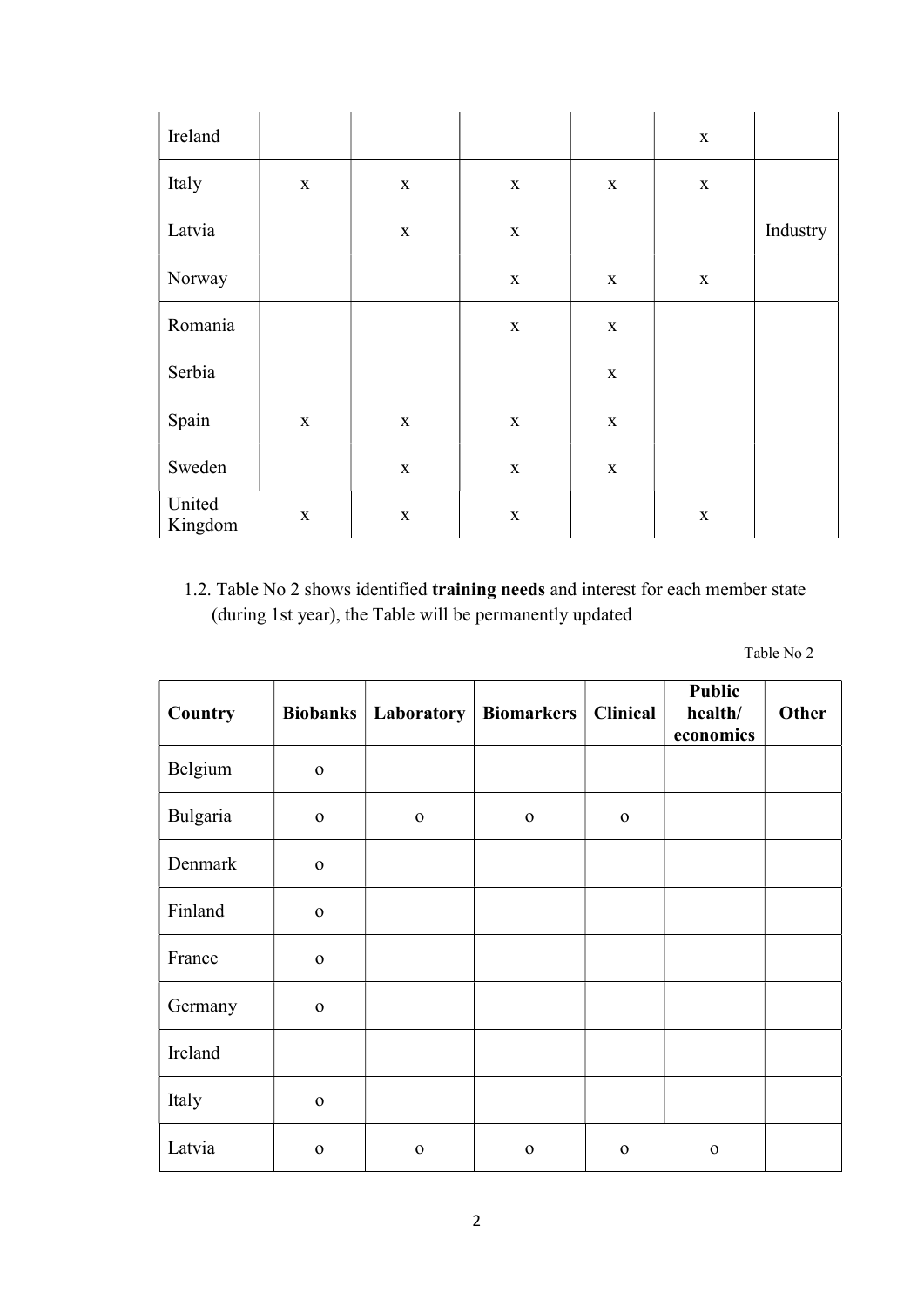| Ireland           |             |             |             |             | $\mathbf X$ |          |
|-------------------|-------------|-------------|-------------|-------------|-------------|----------|
| Italy             | $\mathbf X$ | $\mathbf X$ | $\mathbf X$ | $\mathbf X$ | $\mathbf X$ |          |
| Latvia            |             | $\mathbf X$ | $\mathbf X$ |             |             | Industry |
| Norway            |             |             | $\mathbf X$ | $\mathbf X$ | $\mathbf X$ |          |
| Romania           |             |             | $\mathbf X$ | $\mathbf X$ |             |          |
| Serbia            |             |             |             | $\mathbf X$ |             |          |
| Spain             | $\mathbf X$ | $\mathbf X$ | X           | $\mathbf X$ |             |          |
| Sweden            |             | $\mathbf X$ | $\mathbf X$ | $\mathbf X$ |             |          |
| United<br>Kingdom | $\mathbf X$ | $\mathbf X$ | $\mathbf X$ |             | $\mathbf X$ |          |

1.2. Table No 2 shows identified training needs and interest for each member state (during 1st year), the Table will be permanently updated

| Country  | <b>Biobanks</b> | Laboratory   | <b>Biomarkers</b> | <b>Clinical</b> | <b>Public</b><br>health/<br>economics | <b>Other</b> |
|----------|-----------------|--------------|-------------------|-----------------|---------------------------------------|--------------|
| Belgium  | $\mathbf{O}$    |              |                   |                 |                                       |              |
| Bulgaria | $\mathbf{o}$    | $\mathbf{o}$ | $\mathbf 0$       | $\mathbf{O}$    |                                       |              |
| Denmark  | $\mathbf 0$     |              |                   |                 |                                       |              |
| Finland  | $\mathbf{O}$    |              |                   |                 |                                       |              |
| France   | $\mathbf{o}$    |              |                   |                 |                                       |              |
| Germany  | $\mathbf O$     |              |                   |                 |                                       |              |
| Ireland  |                 |              |                   |                 |                                       |              |
| Italy    | $\mathbf{O}$    |              |                   |                 |                                       |              |
| Latvia   | $\mathbf{o}$    | $\mathbf 0$  | $\mathbf 0$       | $\mathbf{O}$    | $\mathbf 0$                           |              |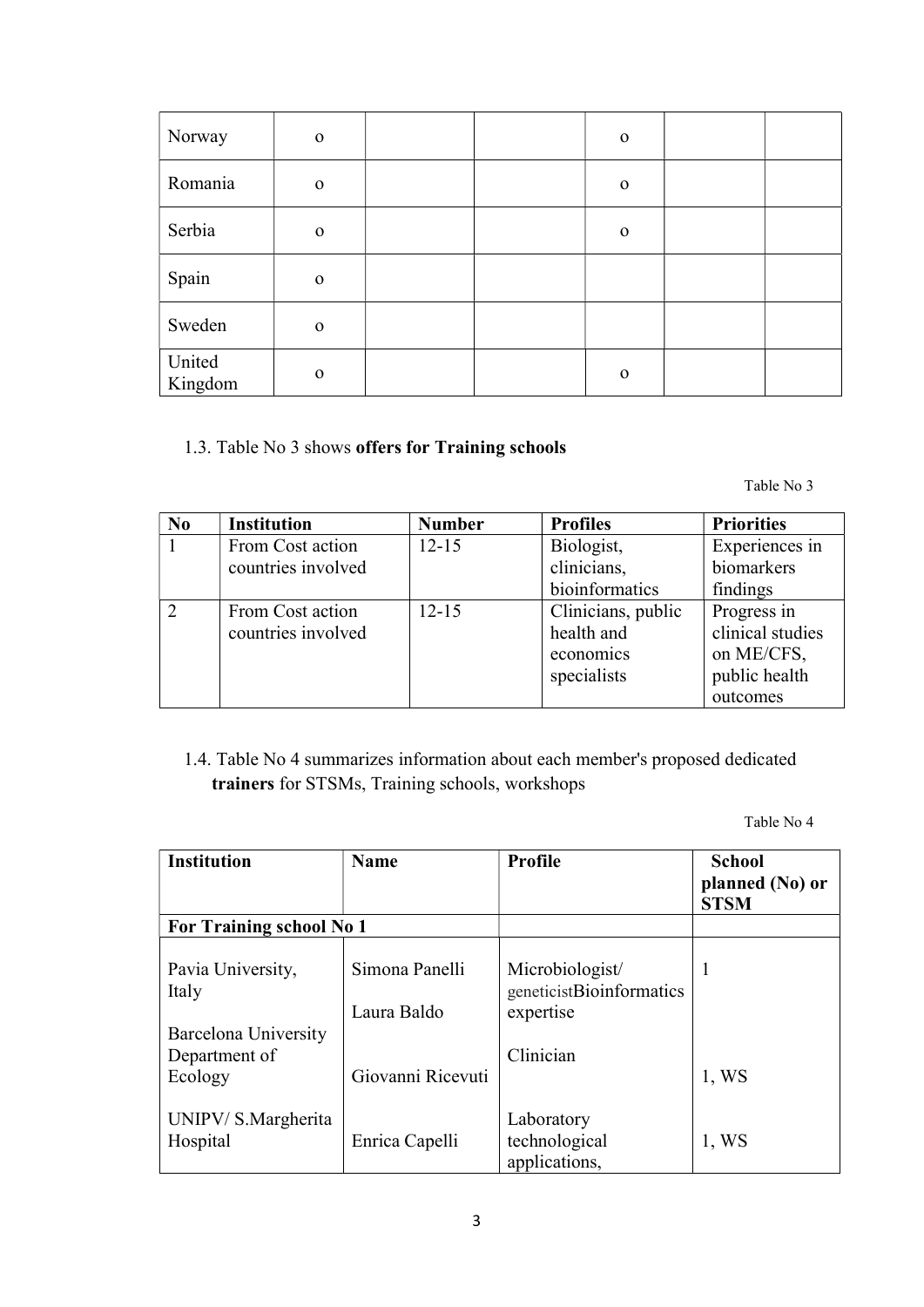| Norway            | $\mathbf{O}$ |  | $\mathbf 0$  |  |
|-------------------|--------------|--|--------------|--|
| Romania           | $\mathbf 0$  |  | $\mathbf 0$  |  |
| Serbia            | $\mathbf 0$  |  | $\mathbf 0$  |  |
| Spain             | $\mathbf 0$  |  |              |  |
| Sweden            | $\mathbf 0$  |  |              |  |
| United<br>Kingdom | $\mathbf{O}$ |  | $\mathbf{O}$ |  |

#### 1.3. Table No 3 shows offers for Training schools

Table No 3

| No | <b>Institution</b> | <b>Number</b> | <b>Profiles</b>    | <b>Priorities</b> |
|----|--------------------|---------------|--------------------|-------------------|
|    | From Cost action   | $12 - 15$     | Biologist,         | Experiences in    |
|    | countries involved |               | clinicians,        | biomarkers        |
|    |                    |               | bioinformatics     | findings          |
|    | From Cost action   | $12 - 15$     | Clinicians, public | Progress in       |
|    | countries involved |               | health and         | clinical studies  |
|    |                    |               | economics          | on ME/CFS,        |
|    |                    |               | specialists        | public health     |
|    |                    |               |                    | outcomes          |

# 1.4. Table No 4 summarizes information about each member's proposed dedicated trainers for STSMs, Training schools, workshops

| <b>Institution</b>                                 | <b>Name</b>                   | <b>Profile</b>                                           | <b>School</b><br>planned (No) or<br><b>STSM</b> |
|----------------------------------------------------|-------------------------------|----------------------------------------------------------|-------------------------------------------------|
| <b>For Training school No 1</b>                    |                               |                                                          |                                                 |
| Pavia University,<br>Italy<br>Barcelona University | Simona Panelli<br>Laura Baldo | Microbiologist/<br>geneticistBioinformatics<br>expertise | 1                                               |
| Department of<br>Ecology                           | Giovanni Ricevuti             | Clinician                                                | $1$ , WS                                        |
| UNIPV/S.Margherita<br>Hospital                     | Enrica Capelli                | Laboratory<br>technological<br>applications,             | $1$ , WS                                        |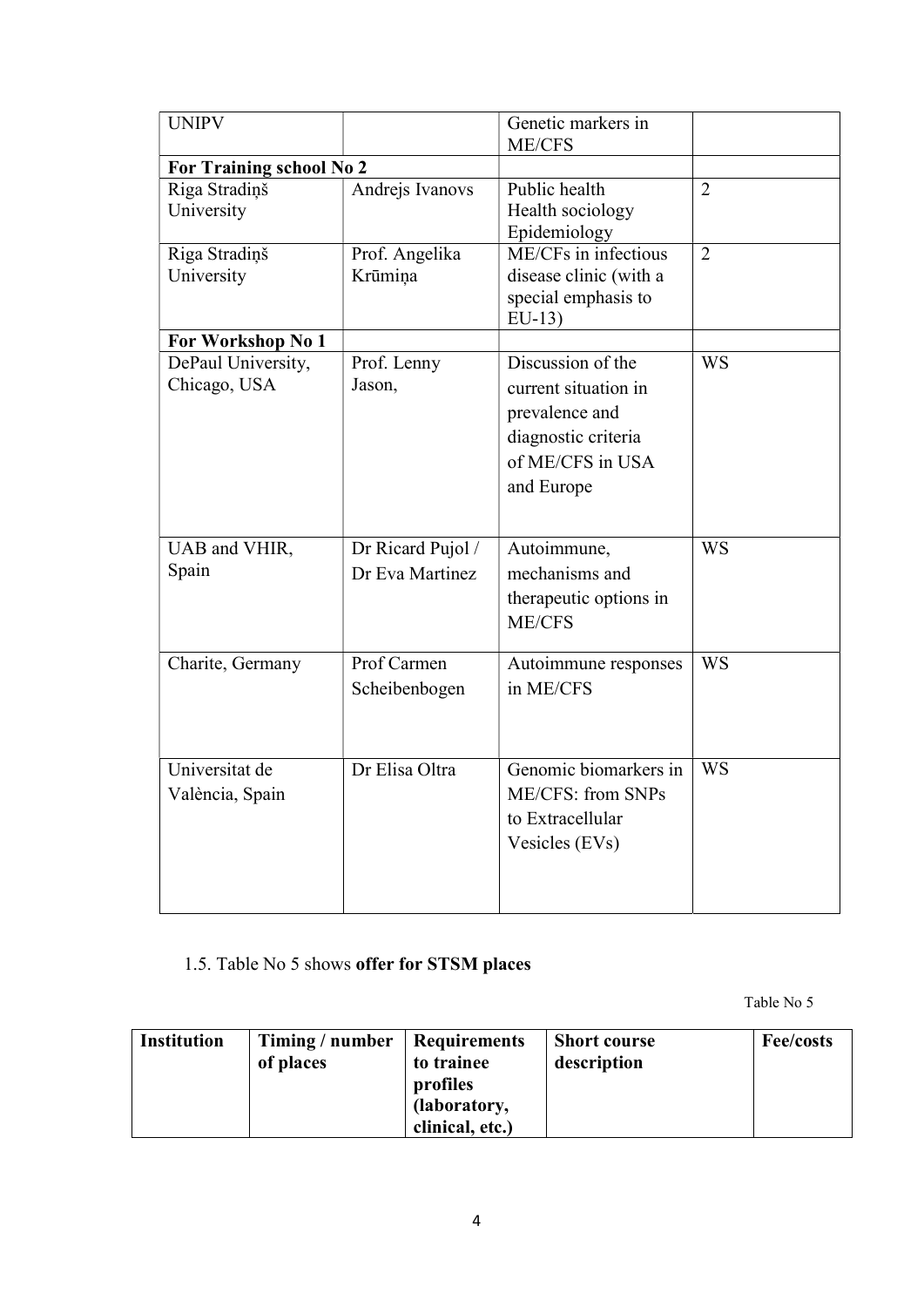| <b>UNIPV</b>                       |                                      | Genetic markers in<br>ME/CFS                                                                                         |                |
|------------------------------------|--------------------------------------|----------------------------------------------------------------------------------------------------------------------|----------------|
| For Training school No 2           |                                      |                                                                                                                      |                |
| Riga Stradiņš<br>University        | Andrejs Ivanovs                      | Public health<br>Health sociology<br>Epidemiology                                                                    | $\overline{2}$ |
| Riga Stradiņš<br>University        | Prof. Angelika<br>Krūmiņa            | $\overline{\text{ME}}$ /CFs in infectious<br>disease clinic (with a<br>special emphasis to<br>$EU-13$                | $\overline{2}$ |
| For Workshop No 1                  |                                      |                                                                                                                      |                |
| DePaul University,<br>Chicago, USA | Prof. Lenny<br>Jason,                | Discussion of the<br>current situation in<br>prevalence and<br>diagnostic criteria<br>of ME/CFS in USA<br>and Europe | <b>WS</b>      |
| UAB and VHIR,<br>Spain             | Dr Ricard Pujol /<br>Dr Eva Martinez | Autoimmune,<br>mechanisms and<br>therapeutic options in<br><b>ME/CFS</b>                                             | <b>WS</b>      |
| Charite, Germany                   | Prof Carmen<br>Scheibenbogen         | Autoimmune responses<br>in ME/CFS                                                                                    | <b>WS</b>      |
| Universitat de<br>València, Spain  | Dr Elisa Oltra                       | Genomic biomarkers in<br>ME/CFS: from SNPs<br>to Extracellular<br>Vesicles (EVs)                                     | <b>WS</b>      |

1.5. Table No 5 shows offer for STSM places

| <b>Institution</b> | Timing / number<br>of places | <b>Requirements</b><br>to trainee<br>profiles<br>(laboratory,<br>clinical, etc.) | <b>Short course</b><br>description | Fee/costs |
|--------------------|------------------------------|----------------------------------------------------------------------------------|------------------------------------|-----------|
|--------------------|------------------------------|----------------------------------------------------------------------------------|------------------------------------|-----------|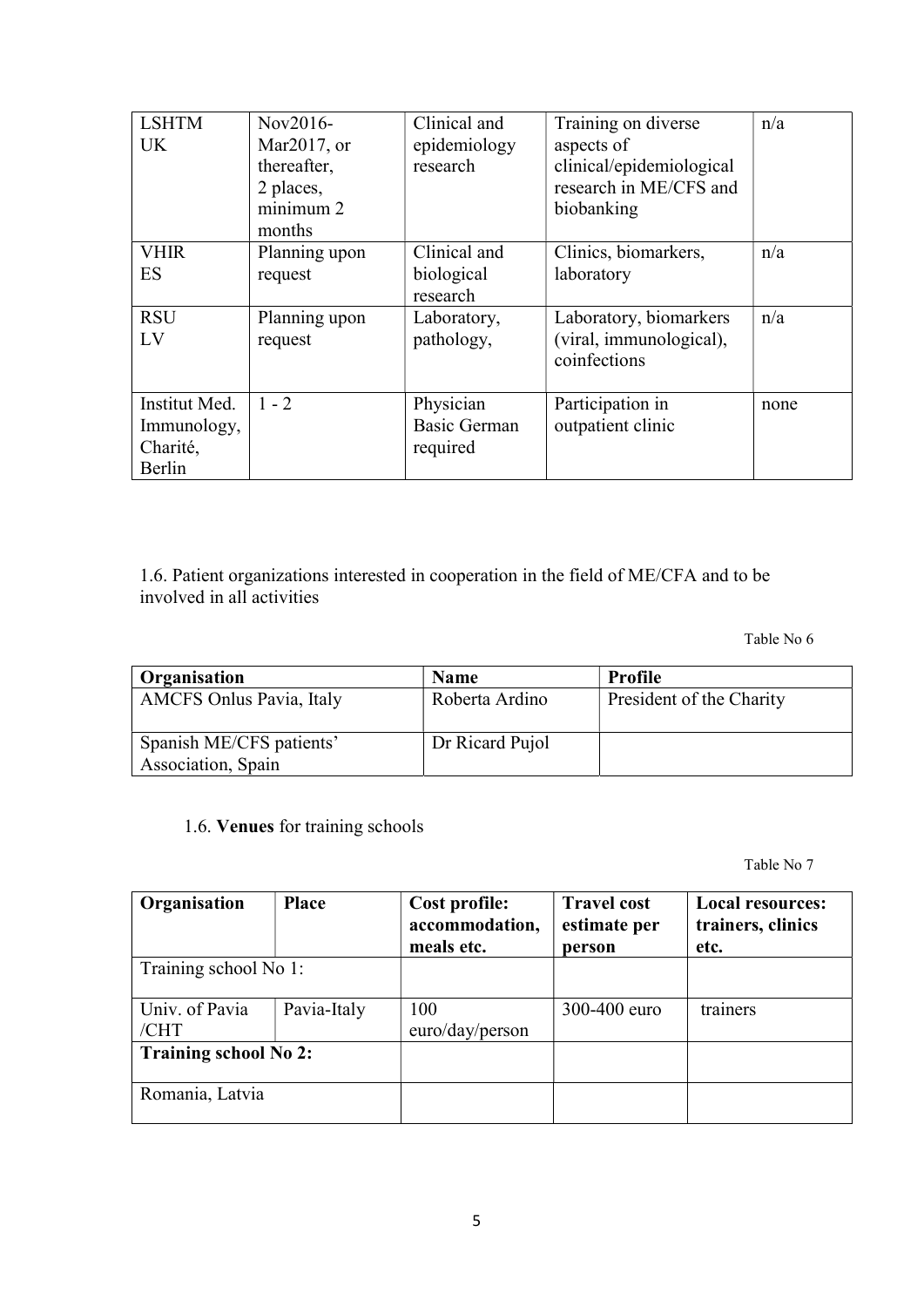| <b>LSHTM</b><br><b>UK</b>                          | Nov2016-<br>Mar2017, or<br>thereafter, | Clinical and<br>epidemiology<br>research     | Training on diverse<br>aspects of<br>clinical/epidemiological     | n/a  |
|----------------------------------------------------|----------------------------------------|----------------------------------------------|-------------------------------------------------------------------|------|
|                                                    | 2 places,<br>minimum 2<br>months       |                                              | research in ME/CFS and<br>biobanking                              |      |
| <b>VHIR</b><br>ES                                  | Planning upon<br>request               | Clinical and<br>biological<br>research       | Clinics, biomarkers,<br>laboratory                                | n/a  |
| <b>RSU</b><br>LV                                   | Planning upon<br>request               | Laboratory,<br>pathology,                    | Laboratory, biomarkers<br>(viral, immunological),<br>coinfections | n/a  |
| Institut Med.<br>Immunology,<br>Charité,<br>Berlin | $1 - 2$                                | Physician<br><b>Basic German</b><br>required | Participation in<br>outpatient clinic                             | none |

1.6. Patient organizations interested in cooperation in the field of ME/CFA and to be involved in all activities

Table No 6

| Organisation                                   | <b>Name</b>     | Profile                  |
|------------------------------------------------|-----------------|--------------------------|
| <b>AMCFS Onlus Pavia, Italy</b>                | Roberta Ardino  | President of the Charity |
| Spanish ME/CFS patients'<br>Association, Spain | Dr Ricard Pujol |                          |

1.6. Venues for training schools

| Organisation                 | <b>Place</b> | Cost profile:<br>accommodation,<br>meals etc. | <b>Travel cost</b><br>estimate per | <b>Local resources:</b><br>trainers, clinics |
|------------------------------|--------------|-----------------------------------------------|------------------------------------|----------------------------------------------|
| Training school No 1:        |              |                                               | person                             | etc.                                         |
| Univ. of Pavia<br>/CHT       | Pavia-Italy  | 100<br>euro/day/person                        | 300-400 euro                       | trainers                                     |
| <b>Training school No 2:</b> |              |                                               |                                    |                                              |
| Romania, Latvia              |              |                                               |                                    |                                              |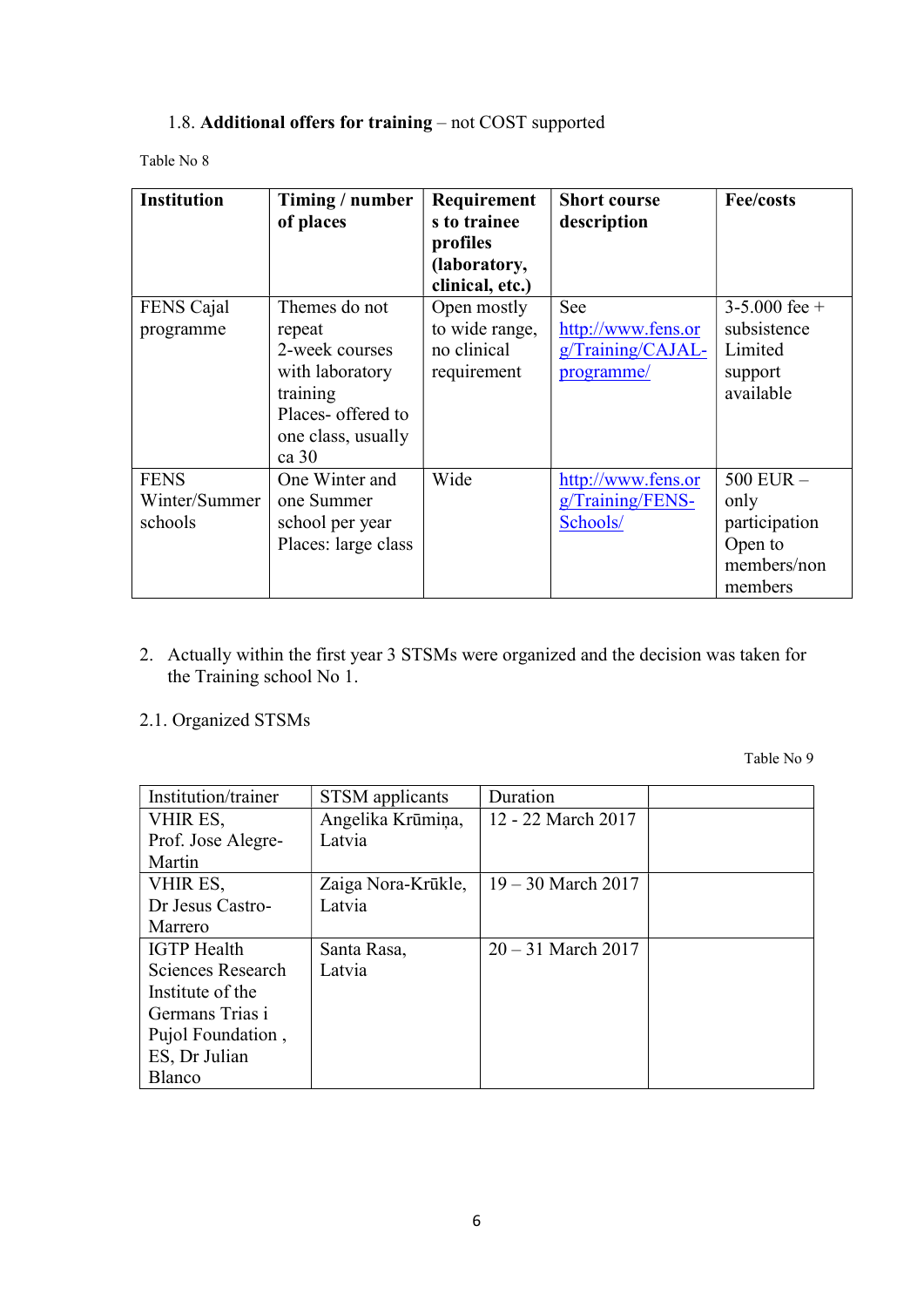#### 1.8. Additional offers for training – not COST supported

Table No 8

| <b>Institution</b> | Timing / number<br>of places | Requirement<br>s to trainee<br>profiles<br>(laboratory,<br>clinical, etc.) | <b>Short course</b><br>description | <b>Fee/costs</b>  |
|--------------------|------------------------------|----------------------------------------------------------------------------|------------------------------------|-------------------|
| FENS Cajal         | Themes do not                | Open mostly                                                                | See                                | $3 - 5.000$ fee + |
| programme          | repeat                       | to wide range,                                                             | http://www.fens.or                 | subsistence       |
|                    | 2-week courses               | no clinical                                                                | g/Training/CAJAL-                  | Limited           |
|                    | with laboratory              | requirement                                                                | programme/                         | support           |
|                    | training                     |                                                                            |                                    | available         |
|                    | Places- offered to           |                                                                            |                                    |                   |
|                    | one class, usually           |                                                                            |                                    |                   |
|                    | $ca$ 30                      |                                                                            |                                    |                   |
| <b>FENS</b>        | One Winter and               | Wide                                                                       | http://www.fens.or                 | $500$ EUR $-$     |
| Winter/Summer      | one Summer                   |                                                                            | g/Training/FENS-                   | only              |
| schools            | school per year              |                                                                            | Schools/                           | participation     |
|                    | Places: large class          |                                                                            |                                    | Open to           |
|                    |                              |                                                                            |                                    | members/non       |
|                    |                              |                                                                            |                                    | members           |

- 2. Actually within the first year 3 STSMs were organized and the decision was taken for the Training school No 1.
- 2.1. Organized STSMs

| Institution/trainer | STSM applicants    | Duration             |  |
|---------------------|--------------------|----------------------|--|
| VHIR ES,            | Angelika Krūmiņa,  | 12 - 22 March 2017   |  |
| Prof. Jose Alegre-  | Latvia             |                      |  |
| Martin              |                    |                      |  |
| VHIR ES,            | Zaiga Nora-Krūkle, | $19 - 30$ March 2017 |  |
| Dr Jesus Castro-    | Latvia             |                      |  |
| Marrero             |                    |                      |  |
| <b>IGTP</b> Health  | Santa Rasa,        | $20 - 31$ March 2017 |  |
| Sciences Research   | Latvia             |                      |  |
| Institute of the    |                    |                      |  |
| Germans Trias i     |                    |                      |  |
| Pujol Foundation,   |                    |                      |  |
| ES, Dr Julian       |                    |                      |  |
| Blanco              |                    |                      |  |